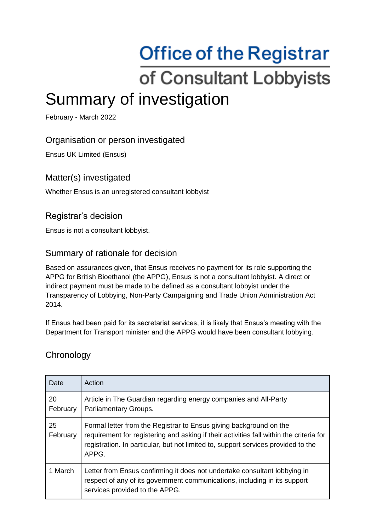# **Office of the Registrar** of Consultant Lobbyists Summary of investigation

February - March 2022

## Organisation or person investigated

Ensus UK Limited (Ensus)

### Matter(s) investigated

Whether Ensus is an unregistered consultant lobbyist

## Registrar's decision

Ensus is not a consultant lobbyist.

#### Summary of rationale for decision

Based on assurances given, that Ensus receives no payment for its role supporting the APPG for British Bioethanol (the APPG), Ensus is not a consultant lobbyist. A direct or indirect payment must be made to be defined as a consultant lobbyist under the Transparency of Lobbying, Non-Party Campaigning and Trade Union Administration Act 2014.

If Ensus had been paid for its secretariat services, it is likely that Ensus's meeting with the Department for Transport minister and the APPG would have been consultant lobbying.

#### **Chronology**

| Date           | Action                                                                                                                                                                                                                                                      |
|----------------|-------------------------------------------------------------------------------------------------------------------------------------------------------------------------------------------------------------------------------------------------------------|
| 20<br>February | Article in The Guardian regarding energy companies and All-Party<br>Parliamentary Groups.                                                                                                                                                                   |
| 25<br>February | Formal letter from the Registrar to Ensus giving background on the<br>requirement for registering and asking if their activities fall within the criteria for<br>registration. In particular, but not limited to, support services provided to the<br>APPG. |
| 1 March        | Letter from Ensus confirming it does not undertake consultant lobbying in<br>respect of any of its government communications, including in its support<br>services provided to the APPG.                                                                    |